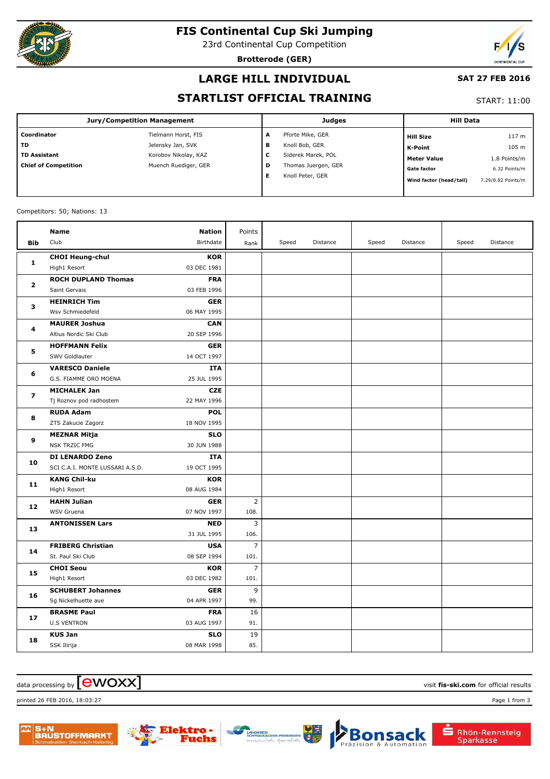

# **FIS Continental Cup Ski Jumping**

23rd Continental Cup Competition

**Brotterode (GER)**



#### **LARGE HILL INDIVIDUAL**

#### **SAT 27 FEB 2016**

#### **STARTLIST OFFICIAL TRAINING**

START: 11:00

| Jury/Competition Management |                      |   | <b>Judges</b>       | <b>Hill Data</b>        |                    |
|-----------------------------|----------------------|---|---------------------|-------------------------|--------------------|
| Coordinator                 | Tielmann Horst, FIS  | A | Pforte Mike, GER    | <b>Hill Size</b>        | 117 <sub>m</sub>   |
| l TD                        | Jelensky Jan, SVK    | в | Knoll Bob, GER      | <b>K-Point</b>          | 105 m              |
| TD Assistant                | Korobov Nikolay, KAZ | с | Siderek Marek, POL  | <b>Meter Value</b>      | 1.8 Points/m       |
| Chief of Competition        | Muench Ruediger, GER | D | Thomas Juergen, GER | <b>Gate factor</b>      | 6.32 Points/m      |
|                             |                      | Е | Knoll Peter, GER    | Wind factor (head/tail) | 7.29/8.82 Points/m |
|                             |                      |   |                     |                         |                    |

#### Competitors: 50; Nations: 13

|                         | Name                            | <b>Nation</b> | Points         |       |          |       |          |       |          |
|-------------------------|---------------------------------|---------------|----------------|-------|----------|-------|----------|-------|----------|
| Bib                     | Club                            | Birthdate     | Rank           | Speed | Distance | Speed | Distance | Speed | Distance |
| $\mathbf{1}$            | <b>CHOI Heung-chul</b>          | <b>KOR</b>    |                |       |          |       |          |       |          |
|                         | High1 Resort                    | 03 DEC 1981   |                |       |          |       |          |       |          |
| 2                       | <b>ROCH DUPLAND Thomas</b>      | <b>FRA</b>    |                |       |          |       |          |       |          |
|                         | Saint Gervais                   | 03 FEB 1996   |                |       |          |       |          |       |          |
| 3                       | <b>HEINRICH Tim</b>             | <b>GER</b>    |                |       |          |       |          |       |          |
|                         | Wsv Schmiedefeld                | 06 MAY 1995   |                |       |          |       |          |       |          |
| 4                       | <b>MAURER Joshua</b>            | <b>CAN</b>    |                |       |          |       |          |       |          |
|                         | Altius Nordic Ski Club          | 20 SEP 1996   |                |       |          |       |          |       |          |
| 5                       | <b>HOFFMANN Felix</b>           | <b>GER</b>    |                |       |          |       |          |       |          |
|                         | SWV Goldlauter                  | 14 OCT 1997   |                |       |          |       |          |       |          |
| 6                       | <b>VARESCO Daniele</b>          | <b>ITA</b>    |                |       |          |       |          |       |          |
|                         | G.S. FIAMME ORO MOENA           | 25 JUL 1995   |                |       |          |       |          |       |          |
| $\overline{\mathbf{z}}$ | <b>MICHALEK Jan</b>             | <b>CZE</b>    |                |       |          |       |          |       |          |
|                         | Tj Roznov pod radhostem         | 22 MAY 1996   |                |       |          |       |          |       |          |
| 8                       | <b>RUDA Adam</b>                | <b>POL</b>    |                |       |          |       |          |       |          |
|                         | ZTS Zakucie Zagorz              | 18 NOV 1995   |                |       |          |       |          |       |          |
| 9                       | <b>MEZNAR Mitja</b>             | <b>SLO</b>    |                |       |          |       |          |       |          |
|                         | NSK TRZIC FMG                   | 30 JUN 1988   |                |       |          |       |          |       |          |
| 10                      | DI LENARDO Zeno                 | ITA           |                |       |          |       |          |       |          |
|                         | SCI C.A.I. MONTE LUSSARI A.S.D. | 19 OCT 1995   |                |       |          |       |          |       |          |
| 11                      | <b>KANG Chil-ku</b>             | <b>KOR</b>    |                |       |          |       |          |       |          |
|                         | High1 Resort                    | 08 AUG 1984   |                |       |          |       |          |       |          |
| 12                      | <b>HAHN Julian</b>              | <b>GER</b>    | $\overline{2}$ |       |          |       |          |       |          |
|                         | WSV Gruena                      | 07 NOV 1997   | 108.           |       |          |       |          |       |          |
| 13                      | <b>ANTONISSEN Lars</b>          | <b>NED</b>    | 3              |       |          |       |          |       |          |
|                         |                                 | 31 JUL 1995   | 106.           |       |          |       |          |       |          |
| 14                      | <b>FRIBERG Christian</b>        | <b>USA</b>    | $\overline{7}$ |       |          |       |          |       |          |
|                         | St. Paul Ski Club               | 08 SEP 1994   | 101.           |       |          |       |          |       |          |
| 15                      | <b>CHOI Seou</b>                | <b>KOR</b>    | 7              |       |          |       |          |       |          |
|                         | High1 Resort                    | 03 DEC 1982   | 101.           |       |          |       |          |       |          |
| 16                      | <b>SCHUBERT Johannes</b>        | <b>GER</b>    | 9              |       |          |       |          |       |          |
|                         | Sg Nickelhuette aue             | 04 APR 1997   | 99.            |       |          |       |          |       |          |
| 17                      | <b>BRASME Paul</b>              | <b>FRA</b>    | 16             |       |          |       |          |       |          |
|                         | <b>U.S VENTRON</b>              | 03 AUG 1997   | 91.            |       |          |       |          |       |          |
| 18                      | <b>KUS Jan</b>                  | <b>SLO</b>    | 19             |       |          |       |          |       |          |
|                         | SSK Ilirija                     | 08 MAR 1998   | 85.            |       |          |       |          |       |          |

#### $\alpha$  data processing by  $\boxed{\text{ewOX}}$

printed 26 FEB 2016, 18:03:27 Page 1 from 3





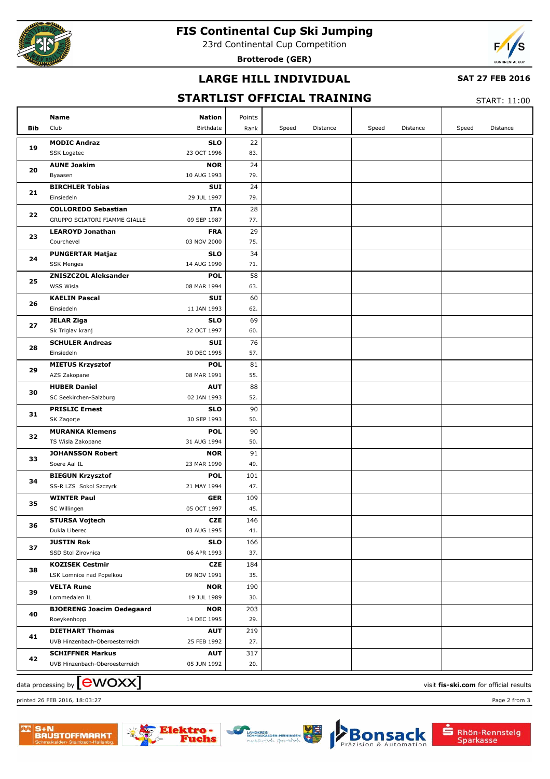

### **FIS Continental Cup Ski Jumping**

23rd Continental Cup Competition

**Brotterode (GER)**



# **LARGE HILL INDIVIDUAL**

#### **SAT 27 FEB 2016**

### **STARTLIST OFFICIAL TRAINING**

START: 11:00

| Bib | Name<br>Club                            | <b>Nation</b><br>Birthdate | Points<br>Rank | Speed | Distance | Speed | Distance | Speed | Distance |
|-----|-----------------------------------------|----------------------------|----------------|-------|----------|-------|----------|-------|----------|
|     | <b>MODIC Andraz</b>                     | <b>SLO</b>                 | 22             |       |          |       |          |       |          |
| 19  | SSK Logatec                             | 23 OCT 1996                | 83.            |       |          |       |          |       |          |
| 20  | <b>AUNE Joakim</b>                      | <b>NOR</b>                 | 24             |       |          |       |          |       |          |
|     | Byaasen                                 | 10 AUG 1993                | 79.            |       |          |       |          |       |          |
|     | <b>BIRCHLER Tobias</b>                  | SUI                        | 24             |       |          |       |          |       |          |
| 21  | Einsiedeln                              | 29 JUL 1997                | 79.            |       |          |       |          |       |          |
|     | <b>COLLOREDO Sebastian</b>              | ITA                        | 28             |       |          |       |          |       |          |
| 22  | GRUPPO SCIATORI FIAMME GIALLE           | 09 SEP 1987                | 77.            |       |          |       |          |       |          |
|     | <b>LEAROYD Jonathan</b>                 | <b>FRA</b>                 | 29             |       |          |       |          |       |          |
| 23  | Courchevel                              | 03 NOV 2000                | 75.            |       |          |       |          |       |          |
|     | <b>PUNGERTAR Matjaz</b>                 | <b>SLO</b>                 | 34             |       |          |       |          |       |          |
| 24  | <b>SSK Menges</b>                       | 14 AUG 1990                | 71.            |       |          |       |          |       |          |
|     | <b>ZNISZCZOL Aleksander</b>             | <b>POL</b>                 | 58             |       |          |       |          |       |          |
| 25  | WSS Wisla                               | 08 MAR 1994                | 63.            |       |          |       |          |       |          |
|     | <b>KAELIN Pascal</b>                    | SUI                        | 60             |       |          |       |          |       |          |
| 26  | Einsiedeln                              | 11 JAN 1993                | 62.            |       |          |       |          |       |          |
|     | <b>JELAR Ziga</b>                       | <b>SLO</b>                 | 69             |       |          |       |          |       |          |
| 27  | Sk Triglav kranj                        | 22 OCT 1997                | 60.            |       |          |       |          |       |          |
|     | <b>SCHULER Andreas</b>                  | SUI                        | 76             |       |          |       |          |       |          |
| 28  | Einsiedeln                              | 30 DEC 1995                | 57.            |       |          |       |          |       |          |
| 29  | <b>MIETUS Krzysztof</b>                 | <b>POL</b>                 | 81             |       |          |       |          |       |          |
|     | AZS Zakopane                            | 08 MAR 1991                | 55.            |       |          |       |          |       |          |
| 30  | <b>HUBER Daniel</b>                     | <b>AUT</b>                 | 88             |       |          |       |          |       |          |
|     | SC Seekirchen-Salzburg                  | 02 JAN 1993                | 52.            |       |          |       |          |       |          |
| 31  | <b>PRISLIC Ernest</b>                   | <b>SLO</b>                 | 90             |       |          |       |          |       |          |
|     | SK Zagorje                              | 30 SEP 1993                | 50.            |       |          |       |          |       |          |
| 32  | <b>MURANKA Klemens</b>                  | <b>POL</b>                 | 90             |       |          |       |          |       |          |
|     | TS Wisla Zakopane                       | 31 AUG 1994                | 50.            |       |          |       |          |       |          |
| 33  | <b>JOHANSSON Robert</b>                 | <b>NOR</b>                 | 91             |       |          |       |          |       |          |
|     | Soere Aal IL                            | 23 MAR 1990                | 49.            |       |          |       |          |       |          |
| 34  | <b>BIEGUN Krzysztof</b>                 | <b>POL</b>                 | 101            |       |          |       |          |       |          |
|     | SS-R LZS Sokol Szczyrk                  | 21 MAY 1994                | 47.            |       |          |       |          |       |          |
| 35  | <b>WINTER Paul</b>                      | <b>GER</b>                 | 109            |       |          |       |          |       |          |
|     | SC Willingen                            | 05 OCT 1997                | 45.            |       |          |       |          |       |          |
| 36  | <b>STURSA Vojtech</b>                   | <b>CZE</b>                 | 146            |       |          |       |          |       |          |
|     | Dukla Liberec                           | 03 AUG 1995                | 41.            |       |          |       |          |       |          |
| 37  | <b>JUSTIN Rok</b><br>SSD Stol Zirovnica | <b>SLO</b><br>06 APR 1993  | 166<br>37.     |       |          |       |          |       |          |
|     | <b>KOZISEK Cestmir</b>                  | <b>CZE</b>                 | 184            |       |          |       |          |       |          |
| 38  | LSK Lomnice nad Popelkou                | 09 NOV 1991                | 35.            |       |          |       |          |       |          |
|     | <b>VELTA Rune</b>                       | <b>NOR</b>                 | 190            |       |          |       |          |       |          |
| 39  | Lommedalen IL                           | 19 JUL 1989                | 30.            |       |          |       |          |       |          |
| 40  | <b>BJOERENG Joacim Oedegaard</b>        | <b>NOR</b>                 | 203            |       |          |       |          |       |          |
|     | Roeykenhopp                             | 14 DEC 1995                | 29.            |       |          |       |          |       |          |
|     | <b>DIETHART Thomas</b>                  | <b>AUT</b>                 | 219            |       |          |       |          |       |          |
| 41  | UVB Hinzenbach-Oberoesterreich          | 25 FEB 1992                | 27.            |       |          |       |          |       |          |
|     | <b>SCHIFFNER Markus</b>                 | <b>AUT</b>                 | 317            |       |          |       |          |       |          |
| 42  | UVB Hinzenbach-Oberoesterreich          | 05 JUN 1992                | 20.            |       |          |       |          |       |          |
|     |                                         |                            |                |       |          |       |          |       |          |

data processing by **CWOXX** and  $\overline{C}$  and  $\overline{C}$  and  $\overline{C}$  and  $\overline{C}$  and  $\overline{C}$  and  $\overline{C}$  and  $\overline{C}$  and  $\overline{C}$  and  $\overline{C}$  and  $\overline{C}$  and  $\overline{C}$  and  $\overline{C}$  and  $\overline{C}$  and  $\overline{C}$  and  $\overline{C}$  printed 26 FEB 2016, 18:03:27 Page 2 from 3



S+N<br>BAUSTOFFMARK1





sack